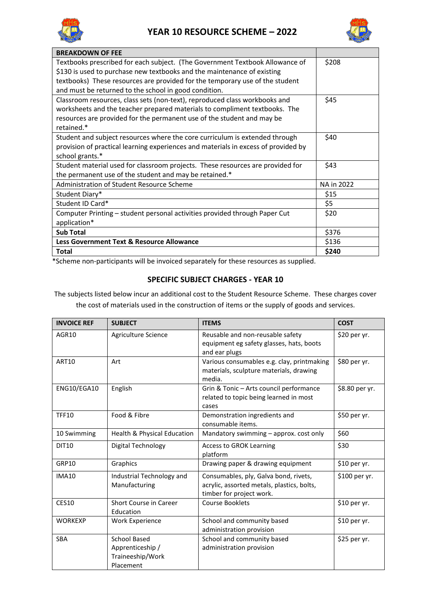



| <b>BREAKDOWN OF FEE</b>                                                                                                                                                                                                                                                                          |            |
|--------------------------------------------------------------------------------------------------------------------------------------------------------------------------------------------------------------------------------------------------------------------------------------------------|------------|
| Textbooks prescribed for each subject. (The Government Textbook Allowance of<br>\$130 is used to purchase new textbooks and the maintenance of existing<br>textbooks) These resources are provided for the temporary use of the student<br>and must be returned to the school in good condition. | \$208      |
| Classroom resources, class sets (non-text), reproduced class workbooks and<br>worksheets and the teacher prepared materials to compliment textbooks. The<br>resources are provided for the permanent use of the student and may be<br>retained.*                                                 | \$45       |
| Student and subject resources where the core curriculum is extended through<br>provision of practical learning experiences and materials in excess of provided by<br>school grants.*                                                                                                             | \$40       |
| Student material used for classroom projects. These resources are provided for<br>the permanent use of the student and may be retained.*                                                                                                                                                         | \$43       |
| Administration of Student Resource Scheme                                                                                                                                                                                                                                                        | NA in 2022 |
| Student Diary*                                                                                                                                                                                                                                                                                   | \$15       |
| Student ID Card*                                                                                                                                                                                                                                                                                 | \$5        |
| Computer Printing - student personal activities provided through Paper Cut<br>application*                                                                                                                                                                                                       | \$20       |
| <b>Sub Total</b>                                                                                                                                                                                                                                                                                 | \$376      |
| Less Government Text & Resource Allowance                                                                                                                                                                                                                                                        | \$136      |
| <b>Total</b>                                                                                                                                                                                                                                                                                     | \$240      |

\*Scheme non-participants will be invoiced separately for these resources as supplied.

## **SPECIFIC SUBJECT CHARGES - YEAR 10**

The subjects listed below incur an additional cost to the Student Resource Scheme. These charges cover the cost of materials used in the construction of items or the supply of goods and services.

| <b>INVOICE REF</b> | <b>SUBJECT</b>                                                           | <b>ITEMS</b>                                                                                                    | <b>COST</b>    |
|--------------------|--------------------------------------------------------------------------|-----------------------------------------------------------------------------------------------------------------|----------------|
| AGR10              | Agriculture Science                                                      | Reusable and non-reusable safety<br>equipment eg safety glasses, hats, boots<br>and ear plugs                   | \$20 per yr.   |
| <b>ART10</b>       | Art                                                                      | Various consumables e.g. clay, printmaking<br>materials, sculpture materials, drawing<br>media.                 | \$80 per yr.   |
| ENG10/EGA10        | English                                                                  | Grin & Tonic - Arts council performance<br>related to topic being learned in most<br>cases                      | \$8.80 per yr. |
| <b>TFF10</b>       | Food & Fibre                                                             | Demonstration ingredients and<br>consumable items.                                                              | \$50 per yr.   |
| 10 Swimming        | Health & Physical Education                                              | Mandatory swimming - approx. cost only                                                                          | \$60           |
| <b>DIT10</b>       | Digital Technology                                                       | <b>Access to GROK Learning</b><br>platform                                                                      | \$30           |
| GRP10              | Graphics                                                                 | Drawing paper & drawing equipment                                                                               | \$10 per yr.   |
| <b>IMA10</b>       | Industrial Technology and<br>Manufacturing                               | Consumables, ply, Galva bond, rivets,<br>acrylic, assorted metals, plastics, bolts,<br>timber for project work. | \$100 per yr.  |
| <b>CES10</b>       | Short Course in Career<br>Education                                      | <b>Course Booklets</b>                                                                                          | \$10 per yr.   |
| <b>WORKEXP</b>     | <b>Work Experience</b>                                                   | School and community based<br>administration provision                                                          | $$10$ per yr.  |
| <b>SBA</b>         | <b>School Based</b><br>Apprenticeship /<br>Traineeship/Work<br>Placement | School and community based<br>administration provision                                                          | \$25 per yr.   |